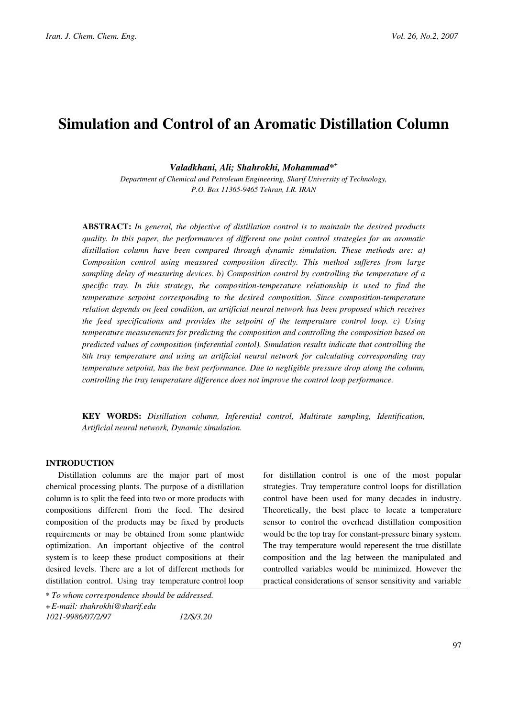# Simulation and Control of an Aromatic Distillation Column

Valadkhani, Ali; Shahrokhi, Mohammad\*<sup>+</sup>

Department of Chemical and Petroleum Engineering, Sharif University of Technology, P.O. Box 11365-9465 Tehran, I.R. IRAN

ABSTRACT: In general, the objective of distillation control is to maintain the desired products quality. In this paper, the performances of different one point control strategies for an aromatic distillation column have been compared through dynamic simulation. These methods are: a) Composition control using measured composition directly. This method sufferes from large sampling delay of measuring devices. b) Composition control by controlling the temperature of a specific tray. In this strategy, the composition-temperature relationship is used to find the temperature setpoint corresponding to the desired composition. Since composition-temperature relation depends on feed condition, an artificial neural network has been proposed which receives the feed specifications and provides the setpoint of the temperature control loop. c) Using temperature measurements for predicting the composition and controlling the composition based on predicted values of composition (inferential contol). Simulation results indicate that controlling the 8th tray temperature and using an artificial neural network for calculating corresponding tray temperature setpoint, has the best performance. Due to negligible pressure drop along the column, controlling the tray temperature difference does not improve the control loop performance.

KEY WORDS: Distillation column, Inferential control, Multirate sampling, Identification, Artificial neural network, Dynamic simulation.

# INTRODUCTION

Distillation columns are the major part of most chemical processing plants. The purpose of a distillation column is to split the feed into two or more products with compositions different from the feed. The desired composition of the products may be fixed by products requirements or may be obtained from some plantwide optimization. An important objective of the control system is to keep these product compositions at their desired levels. There are a lot of different methods for distillation control. Using tray temperature control loop

<sup>\*</sup> To whom correspondence should be addressed.

<sup>+</sup>E-mail: shahrokhi@sharif.edu

<sup>1021-9986/07/2/97 12/\$/3.20</sup> 

for distillation control is one of the most popular strategies. Tray temperature control loops for distillation control have been used for many decades in industry. Theoretically, the best place to locate a temperature sensor to control the overhead distillation composition would be the top tray for constant-pressure binary system. The tray temperature would reperesent the true distillate composition and the lag between the manipulated and controlled variables would be minimized. However the practical considerations of sensor sensitivity and variable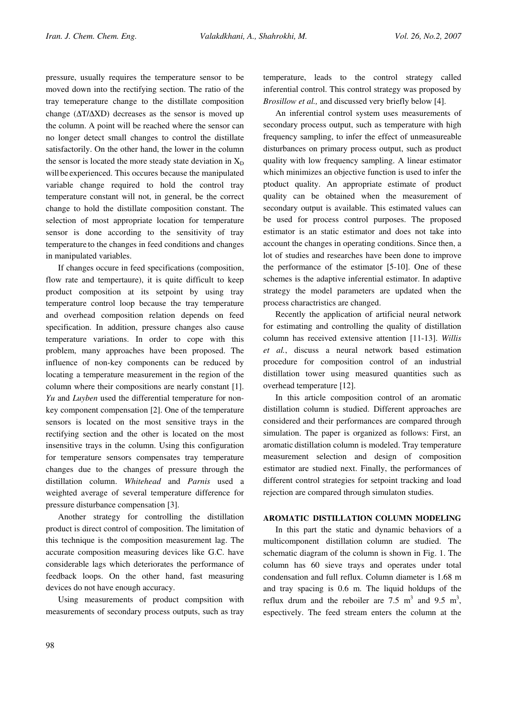pressure, usually requires the temperature sensor to be moved down into the rectifying section. The ratio of the tray temeperature change to the distillate composition change (∆T/∆XD) decreases as the sensor is moved up the column. A point will be reached where the sensor can no longer detect small changes to control the distillate satisfactorily. On the other hand, the lower in the column the sensor is located the more steady state deviation in  $X_D$ will be experienced. This occures because the manipulated variable change required to hold the control tray temperature constant will not, in general, be the correct change to hold the distillate composition constant. The selection of most appropriate location for temperature sensor is done according to the sensitivity of tray temperature to the changes in feed conditions and changes in manipulated variables.

If changes occure in feed specifications (composition, flow rate and tempertaure), it is quite difficult to keep product composition at its setpoint by using tray temperature control loop because the tray temperature and overhead composition relation depends on feed specification. In addition, pressure changes also cause temperature variations. In order to cope with this problem, many approaches have been proposed. The influence of non-key components can be reduced by locating a temperature measurement in the region of the column where their compositions are nearly constant [1]. Yu and Luyben used the differential temperature for nonkey component compensation [2]. One of the temperature sensors is located on the most sensitive trays in the rectifying section and the other is located on the most insensitive trays in the column. Using this configuration for temperature sensors compensates tray temperature changes due to the changes of pressure through the distillation column. Whitehead and Parnis used a weighted average of several temperature difference for pressure disturbance compensation [3].

Another strategy for controlling the distillation product is direct control of composition. The limitation of this technique is the composition measurement lag. The accurate composition measuring devices like G.C. have considerable lags which deteriorates the performance of feedback loops. On the other hand, fast measuring devices do not have enough accuracy.

Using measurements of product compsition with measurements of secondary process outputs, such as tray temperature, leads to the control strategy called inferential control. This control strategy was proposed by Brosillow et al., and discussed very briefly below [4].

An inferential control system uses measurements of secondary process output, such as temperature with high frequency sampling, to infer the effect of unmeasureable disturbances on primary process output, such as product quality with low frequency sampling. A linear estimator which minimizes an objective function is used to infer the ptoduct quality. An appropriate estimate of product quality can be obtained when the measurement of secondary output is available. This estimated values can be used for process control purposes. The proposed estimator is an static estimator and does not take into account the changes in operating conditions. Since then, a lot of studies and researches have been done to improve the performance of the estimator [5-10]. One of these schemes is the adaptive inferential estimator. In adaptive strategy the model parameters are updated when the process charactristics are changed.

Recently the application of artificial neural network for estimating and controlling the quality of distillation column has received extensive attention [11-13]. Willis et al., discuss a neural network based estimation procedure for composition control of an industrial distillation tower using measured quantities such as overhead temperature [12].

In this article composition control of an aromatic distillation column is studied. Different approaches are considered and their performances are compared through simulation. The paper is organized as follows: First, an aromatic distillation column is modeled. Tray temperature measurement selection and design of composition estimator are studied next. Finally, the performances of different control strategies for setpoint tracking and load rejection are compared through simulaton studies.

## AROMATIC DISTILLATION COLUMN MODELING

In this part the static and dynamic behaviors of a multicomponent distillation column are studied. The schematic diagram of the column is shown in Fig. 1. The column has 60 sieve trays and operates under total condensation and full reflux. Column diameter is 1.68 m and tray spacing is 0.6 m. The liquid holdups of the reflux drum and the reboiler are 7.5  $m^3$  and 9.5  $m^3$ , espectively. The feed stream enters the column at the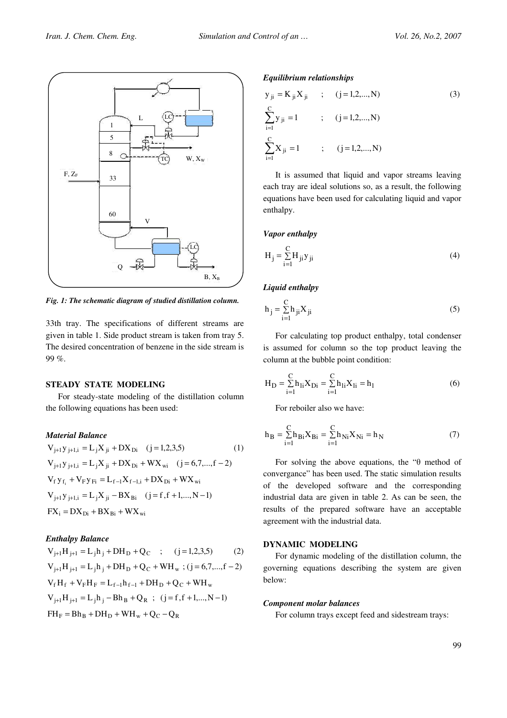

Fig. 1: The schematic diagram of studied distillation column.

33th tray. The specifications of different streams are given in table 1. Side product stream is taken from tray 5. The desired concentration of benzene in the side stream is 99 %.

#### STEADY STATE MODELING

For steady-state modeling of the distillation column the following equations has been used:

## Material Balance

$$
V_{j+1}y_{j+1,i} = L_jX_{ji} + DX_{Di} \quad (j=1,2,3,5) \tag{1}
$$
\n
$$
V_{j+1}y_{j+1,i} = L_jX_{ji} + DX_{Di} +WX_{wi} \quad (j=6,7,...,f-2)
$$
\n
$$
V_fy_{f_i} + V_Fy_{Fi} = L_{f-1}X_{f-1,i} + DX_{Di} +WX_{wi}
$$
\n
$$
V_{j+1}y_{j+1,i} = L_jX_{ji} - BX_{Bi} \quad (j=f,f+1,...,N-1)
$$
\n
$$
FX_i = DX_{Di} + BX_{Bi} +WX_{wi}
$$

#### Enthalpy Balance

$$
V_{j+1}H_{j+1} = L_j h_j + DH_D + Q_C \quad ; \quad (j = 1, 2, 3, 5) \tag{2}
$$
\n
$$
V_{j+1}H_{j+1} = L_j h_j + DH_D + Q_C + WH_w \quad ; (j = 6, 7, ..., f - 2)
$$
\n
$$
V_f H_f + V_F H_F = L_{f-1}h_{f-1} + DH_D + Q_C + WH_w
$$
\n
$$
V_{j+1}H_{j+1} = L_j h_j - Bh_B + Q_R \quad ; \quad (j = f, f + 1, ..., N - 1)
$$
\n
$$
FH_F = Bh_B + DH_D + WH_w + Q_C - Q_R
$$

#### Equilibrium relationships

$$
y_{ji} = K_{ji} X_{ji} ; (j = 1, 2, ..., N)
$$
\n
$$
\sum_{i=1}^{C} y_{ji} = 1 ; (j = 1, 2, ..., N)
$$
\n
$$
\sum_{i=1}^{C} X_{ji} = 1 ; (j = 1, 2, ..., N)
$$
\n(3)

It is assumed that liquid and vapor streams leaving each tray are ideal solutions so, as a result, the following equations have been used for calculating liquid and vapor enthalpy.

#### Vapor enthalpy

$$
H_j = \sum_{i=1}^{C} H_{ji} y_{ji}
$$
\n
$$
(4)
$$

#### Liquid enthalpy

$$
h_j = \sum_{i=1}^{C} h_{ji} X_{ji}
$$
 (5)

For calculating top product enthalpy, total condenser is assumed for column so the top product leaving the column at the bubble point condition:

$$
H_{D} = \sum_{i=1}^{C} h_{1i} X_{Di} = \sum_{i=1}^{C} h_{1i} X_{1i} = h_{1}
$$
 (6)

For reboiler also we have:

$$
h_{B} = \sum_{i=1}^{C} h_{Bi} X_{Bi} = \sum_{i=1}^{C} h_{Ni} X_{Ni} = h_{N}
$$
 (7)

For solving the above equations, the " $\theta$  method of convergance" has been used. The static simulation results of the developed software and the corresponding industrial data are given in table 2. As can be seen, the results of the prepared software have an acceptable agreement with the industrial data.

## DYNAMIC MODELING

For dynamic modeling of the distillation column, the governing equations describing the system are given below:

#### Component molar balances

For column trays except feed and sidestream trays: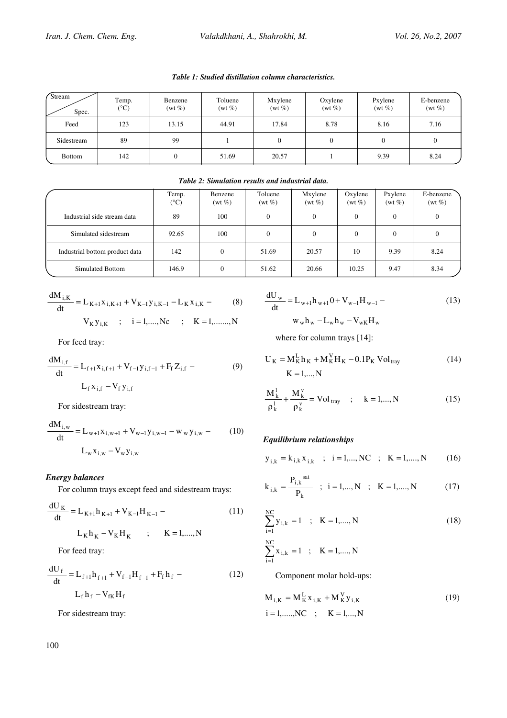Table 1: Studied distillation column characteristics.

| <b>Stream</b><br>Spec. | Temp.<br>$({}^{\circ}C)$ | Benzene<br>$(wt\%)$ | Toluene<br>$(wt\%)$ | Mxylene<br>$(wt\%)$ | Oxylene<br>$(wt\%)$ | Pxylene<br>$(wt\%)$ | E-benzene<br>$(wt\%)$ |
|------------------------|--------------------------|---------------------|---------------------|---------------------|---------------------|---------------------|-----------------------|
| Feed                   | 123                      | 13.15               | 44.91               | 17.84               | 8.78                | 8.16                | 7.16                  |
| Sidestream             | 89                       | 99                  |                     | 0                   |                     |                     | 0                     |
| <b>Bottom</b>          | 142                      |                     | 51.69               | 20.57               |                     | 9.39                | 8.24                  |

Table 2: Simulation results and industrial data.

|                                | Temp.<br>$(^\circ C)$ | Benzene<br>$(wt\%)$ | Toluene<br>$(wt\%)$ | Mxylene<br>$(wt\%)$ | Oxylene<br>$(wt\%)$ | Pxylene<br>$(wt\%)$ | E-benzene<br>$(wt\%)$ |
|--------------------------------|-----------------------|---------------------|---------------------|---------------------|---------------------|---------------------|-----------------------|
| Industrial side stream data    | 89                    | 100                 | $\Omega$            | $\Omega$            | $\Omega$            | $\Omega$            | 0                     |
| Simulated sidestream           | 92.65                 | 100                 | 0                   | $\theta$            | $\Omega$            |                     |                       |
| Industrial bottom product data | 142                   |                     | 51.69               | 20.57               | 10                  | 9.39                | 8.24                  |
| Simulated Bottom               | 146.9                 |                     | 51.62               | 20.66               | 10.25               | 9.47                | 8.34                  |

$$
\frac{dM_{i,K}}{dt} = L_{K+1}x_{i,K+1} + V_{K-1}y_{i,K-1} - L_{K}x_{i,K} - (8)
$$
  

$$
V_{K}y_{i,K} \quad ; \quad i = 1,...,Nc \quad ; \quad K = 1,......,N
$$

For feed tray:

$$
\frac{dM_{i,f}}{dt} = L_{f+1}x_{i,f+1} + V_{f-1}y_{i,f-1} + F_f Z_{i,f}
$$
\n
$$
L_f x_{i,f} - V_f y_{i,f}
$$
\n(9)

For sidestream tray:

$$
\frac{dM_{i,w}}{dt} = L_{w+1}x_{i,w+1} + V_{w-1}y_{i,w-1} - w_w y_{i,w} \tag{10}
$$

$$
L_w x_{i,w} - V_w y_{i,w}
$$

# Energy balances

For column trays except feed and sidestream trays:

$$
\frac{dU_{K}}{dt} = L_{K+1}h_{K+1} + V_{K-1}H_{K-1} -
$$
\n
$$
L_{K}h_{K} - V_{K}H_{K} \qquad ; \qquad K = 1,...,N
$$
\n(11)

For feed tray:

$$
\frac{dU_f}{dt} = L_{f+1}h_{f+1} + V_{f-1}H_{f-1} + F_f h_f -
$$
  

$$
L_f h_f - V_{fK} H_f
$$
 (12)

For sidestream tray:

$$
\frac{dU_w}{dt} = L_{w+1}h_{w+1}0 + V_{w-1}H_{w-1} -
$$
  
\n
$$
W_wh_w - L_wh_w - V_{wK}H_w
$$
\n(13)

where for column trays [14]:

$$
U_{K} = M_{K}^{L} h_{K} + M_{K}^{V} H_{K} - 0.1 P_{K} Vol_{tray}
$$
\n
$$
K = 1,..., N
$$
\n(14)

$$
\frac{M_{k}^{1}}{\rho_{k}^{1}} + \frac{M_{k}^{v}}{\rho_{k}^{v}} = Vol_{\text{tray}} \quad ; \quad k = 1,..., N
$$
 (15)

# Equilibrium relationships

$$
y_{i,k} = k_{i,k} x_{i,k}
$$
 ;  $i = 1,..., NC$  ;  $K = 1,..., N$  (16)

$$
k_{i,k} = \frac{P_{i,k}^{sat}}{P_k} \quad ; \quad i = 1,...,N \quad ; \quad K = 1,...,N \tag{17}
$$

$$
\sum_{i=1}^{NC} y_{i,k} = 1 \quad ; \quad K = 1,..., N
$$
\n
$$
\sum_{i=1}^{NC} x_{i,k} = 1 \quad ; \quad K = 1,..., N
$$
\n(18)

Component molar hold-ups:

$$
M_{i,K} = M_K^L x_{i,K} + M_K^V y_{i,K}
$$
  
\n $i = 1, \dots, NC$ ;  $K = 1, \dots, N$  (19)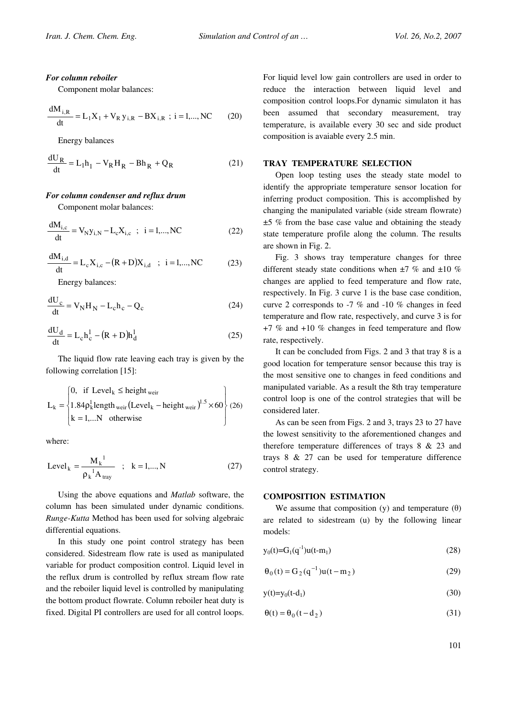#### For column reboiler

Component molar balances:

$$
\frac{dM_{i,R}}{dt} = L_1 X_1 + V_R y_{i,R} - BX_{i,R} \; ; \; i = 1,..., NC \qquad (20)
$$

Energy balances

$$
\frac{dU_R}{dt} = L_1 h_1 - V_R H_R - Bh_R + Q_R
$$
 (21)

#### For column condenser and reflux drum

Component molar balances:

$$
\frac{dM_{i,c}}{dt} = V_N y_{i,N} - L_c X_{i,c} \quad ; \quad i = 1,...,NC
$$
 (22)

$$
\frac{dM_{i,d}}{dt} = L_c X_{i,c} - (R + D)X_{i,d} \quad ; \quad i = 1,...,NC \tag{23}
$$

Energy balances:

$$
\frac{dU_c}{dt} = V_N H_N - L_c h_c - Q_c
$$
 (24)

$$
\frac{\mathrm{d}U_{\mathrm{d}}}{\mathrm{d}t} = L_{\mathrm{c}} \mathbf{h}_{\mathrm{c}}^1 - (\mathbf{R} + \mathbf{D}) \mathbf{h}_{\mathrm{d}}^1 \tag{25}
$$

The liquid flow rate leaving each tray is given by the following correlation [15]:

$$
L_{k} = \begin{cases} 0, & \text{if } Level_{k} \leq height_{\text{weir}} \\ 1.84 \rho_{k}^{1} \text{length}_{\text{weir}} \left( Level_{k} - height_{\text{weir}} \right)^{1.5} \times 60 \\ k = 1,...N \quad \text{otherwise} \end{cases} (26)
$$

where:

$$
Level_{k} = \frac{M_{k}^{1}}{\rho_{k}^{1} A_{\text{tray}}} \quad ; \quad k = 1,..., N \tag{27}
$$

Using the above equations and Matlab software, the column has been simulated under dynamic conditions. Runge-Kutta Method has been used for solving algebraic differential equations.

In this study one point control strategy has been considered. Sidestream flow rate is used as manipulated variable for product composition control. Liquid level in the reflux drum is controlled by reflux stream flow rate and the reboiler liquid level is controlled by manipulating the bottom product flowrate. Column reboiler heat duty is fixed. Digital PI controllers are used for all control loops.

For liquid level low gain controllers are used in order to reduce the interaction between liquid level and composition control loops.For dynamic simulaton it has been assumed that secondary measurement, tray temperature, is available every 30 sec and side product composition is avaiable every 2.5 min.

#### TRAY TEMPERATURE SELECTION

Open loop testing uses the steady state model to identify the appropriate temperature sensor location for inferring product composition. This is accomplished by changing the manipulated variable (side stream flowrate) ±5 % from the base case value and obtaining the steady state temperature profile along the column. The results are shown in Fig. 2.

Fig. 3 shows tray temperature changes for three different steady state conditions when  $\pm 7$  % and  $\pm 10$  % changes are applied to feed temperature and flow rate, respectively. In Fig. 3 curve 1 is the base case condition, curve 2 corresponds to -7 % and -10 % changes in feed temperature and flow rate, respectively, and curve 3 is for +7 % and +10 % changes in feed temperature and flow rate, respectively.

It can be concluded from Figs. 2 and 3 that tray 8 is a good location for temperature sensor because this tray is the most sensitive one to changes in feed conditions and manipulated variable. As a result the 8th tray temperature control loop is one of the control strategies that will be considered later.

As can be seen from Figs. 2 and 3, trays 23 to 27 have the lowest sensitivity to the aforementioned changes and therefore temperature differences of trays  $8 \& 23$  and trays 8 & 27 can be used for temperature difference control strategy.

#### COMPOSITION ESTIMATION

We assume that composition (y) and temperature  $(\theta)$ are related to sidestream (u) by the following linear models:

$$
y_0(t)=G_1(q^{-1})u(t-m_1)
$$
\n(28)

$$
\Theta_0(t) = G_2(q^{-1})u(t - m_2)
$$
 (29)

$$
y(t)=y_0(t-d_1) \tag{30}
$$

$$
\Theta(t) = \Theta_0(t - d_2) \tag{31}
$$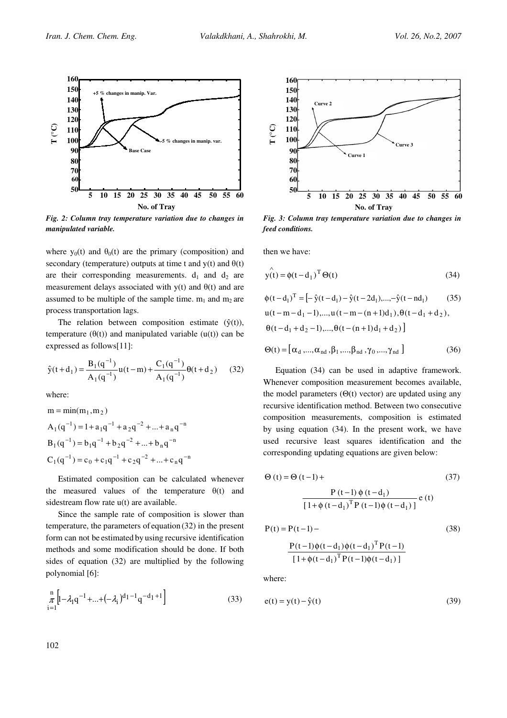

Fig. 2: Column tray temperature variation due to changes in manipulated variable.

where  $y_0(t)$  and  $\theta_0(t)$  are the primary (composition) and secondary (temperature) outputs at time t and  $y(t)$  and  $\theta(t)$ are their corresponding measurements.  $d_1$  and  $d_2$  are measurement delays associated with  $v(t)$  and  $\theta(t)$  and are assumed to be multiple of the sample time.  $m_1$  and  $m_2$  are process transportation lags.

The relation between composition estimate  $(\hat{y}(t)),$ temperature  $(\theta(t))$  and manipulated variable (u(t)) can be expressed as follows[11]:

$$
\hat{y}(t+d_1) = \frac{B_1(q^{-1})}{A_1(q^{-1})} u(t-m) + \frac{C_1(q^{-1})}{A_1(q^{-1})} \theta(t+d_2)
$$
 (32)

where:

$$
m = min(m1, m2)
$$
  
\n
$$
A1(q-1) = 1 + a1q-1 + a2q-2 + ... + anq-n
$$
  
\n
$$
B1(q-1) = b1q-1 + b2q-2 + ... + bnq-n
$$
  
\n
$$
C1(q-1) = c0 + c1q-1 + c2q-2 + ... + cnq-n
$$

Estimated composition can be calculated whenever the measured values of the temperature  $\theta(t)$  and sidestream flow rate  $u(t)$  are available.

Since the sample rate of composition is slower than temperature, the parameters of equation (32) in the present form can not be estimated by using recursive identification methods and some modification should be done. If both sides of equation (32) are multiplied by the following polynomial [6]:

$$
\frac{n}{\pi} \left[ I - \lambda_1 q^{-1} + \dots + (-\lambda_i)^{d_1 - 1} q^{-d_1 + 1} \right]
$$
\n(33)



Fig. 3: Column tray temperature variation due to changes in feed conditions.

then we have:

$$
\mathbf{y}(t) = \phi(t - d_1)^T \Theta(t)
$$
\n(34)

$$
\begin{aligned} \n\phi(t - d_1)^T &= \left[ -\hat{y}(t - d_1) - \hat{y}(t - 2d_1), \dots, -\hat{y}(t - nd_1) \right. \\ \n& u(t - m - d_1 - 1), \dots, u(t - m - (n + 1)d_1), \n\theta(t - d_1 + d_2), \\ \n& \theta(t - d_1 + d_2 - 1), \dots, \n\theta(t - (n + 1)d_1 + d_2) \n\end{aligned} \tag{35}
$$

$$
\Theta(t) = [\alpha_{d}, ..., \alpha_{nd}, \beta_{1}, ..., \beta_{nd}, \gamma_{0}, ..., \gamma_{nd}]
$$
 (36)

Equation (34) can be used in adaptive framework. Whenever composition measurement becomes available, the model parameters  $(\Theta(t)$  vector) are updated using any recursive identification method. Between two consecutive composition measurements, composition is estimated by using equation (34). In the present work, we have used recursive least squares identification and the corresponding updating equations are given below:

$$
\Theta(t) = \Theta(t-1) +
$$
\n
$$
\frac{P(t-1) \phi(t-d_1)}{[1 + \phi(t-d_1)^T P(t-1) \phi(t-d_1)]} e(t)
$$
\n(37)

$$
P(t) = P(t-1) -
$$
 (38)

$$
\frac{P(t-1)\phi(t-d_1)\phi(t-d_1)^T P(t-1)}{[1+\phi(t-d_1)^T P(t-1)\phi(t-d_1)]}
$$

where:

$$
e(t) = y(t) - \hat{y}(t)
$$
\n(39)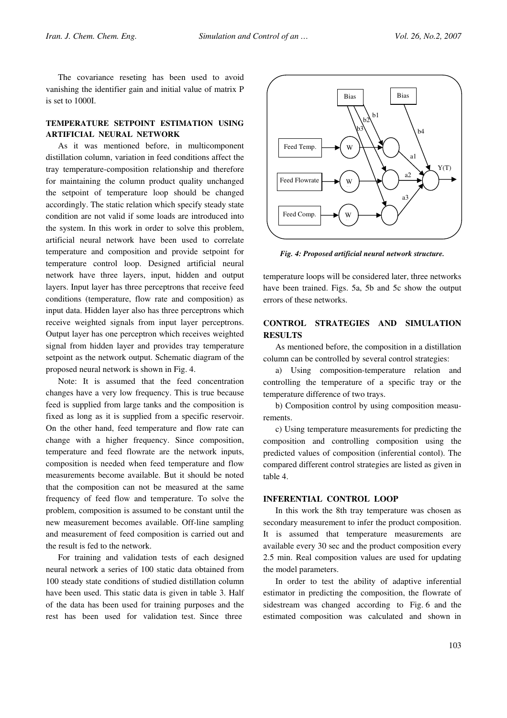The covariance reseting has been used to avoid vanishing the identifier gain and initial value of matrix P is set to 1000I.

## TEMPERATURE SETPOINT ESTIMATION USING ARTIFICIAL NEURAL NETWORK

As it was mentioned before, in multicomponent distillation column, variation in feed conditions affect the tray temperature-composition relationship and therefore for maintaining the column product quality unchanged the setpoint of temperature loop should be changed accordingly. The static relation which specify steady state condition are not valid if some loads are introduced into the system. In this work in order to solve this problem, artificial neural network have been used to correlate temperature and composition and provide setpoint for temperature control loop. Designed artificial neural network have three layers, input, hidden and output layers. Input layer has three perceptrons that receive feed conditions (temperature, flow rate and composition) as input data. Hidden layer also has three perceptrons which receive weighted signals from input layer perceptrons. Output layer has one perceptron which receives weighted signal from hidden layer and provides tray temperature setpoint as the network output. Schematic diagram of the proposed neural network is shown in Fig. 4.

Note: It is assumed that the feed concentration changes have a very low frequency. This is true because feed is supplied from large tanks and the composition is fixed as long as it is supplied from a specific reservoir. On the other hand, feed temperature and flow rate can change with a higher frequency. Since composition, temperature and feed flowrate are the network inputs, composition is needed when feed temperature and flow measurements become available. But it should be noted that the composition can not be measured at the same frequency of feed flow and temperature. To solve the problem, composition is assumed to be constant until the new measurement becomes available. Off-line sampling and measurement of feed composition is carried out and the result is fed to the network.

For training and validation tests of each designed neural network a series of 100 static data obtained from 100 steady state conditions of studied distillation column have been used. This static data is given in table 3. Half of the data has been used for training purposes and the rest has been used for validation test. Since three



Fig. 4: Proposed artificial neural network structure.

temperature loops will be considered later, three networks have been trained. Figs. 5a, 5b and 5c show the output errors of these networks.

# CONTROL STRATEGIES AND SIMULATION **RESULTS**

As mentioned before, the composition in a distillation column can be controlled by several control strategies:

a) Using composition-temperature relation and controlling the temperature of a specific tray or the temperature difference of two trays.

b) Composition control by using composition measurements.

c) Using temperature measurements for predicting the composition and controlling composition using the predicted values of composition (inferential contol). The compared different control strategies are listed as given in table 4.

# INFERENTIAL CONTROL LOOP

In this work the 8th tray temperature was chosen as secondary measurement to infer the product composition. It is assumed that temperature measurements are available every 30 sec and the product composition every 2.5 min. Real composition values are used for updating the model parameters.

In order to test the ability of adaptive inferential estimator in predicting the composition, the flowrate of sidestream was changed according to Fig. 6 and the estimated composition was calculated and shown in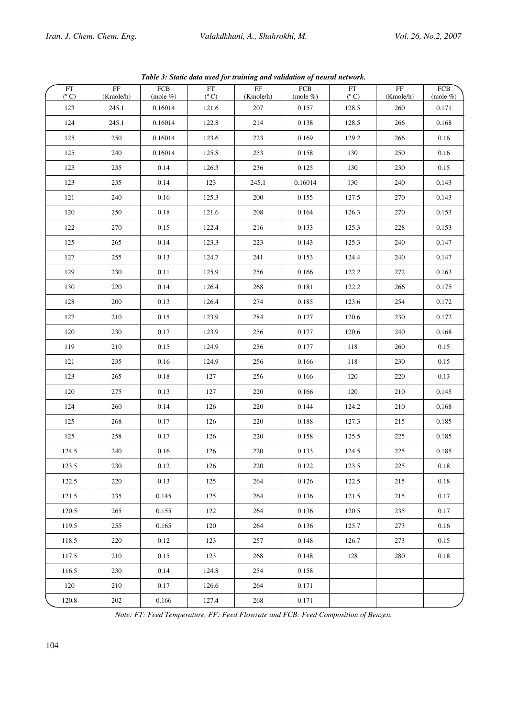|                                         |                                     | Tubic 9. Shahe aani asea jor mammig ana ranaanon of nearan nemorit. |                     |                                     |                 |                                             |                                     |                 |
|-----------------------------------------|-------------------------------------|---------------------------------------------------------------------|---------------------|-------------------------------------|-----------------|---------------------------------------------|-------------------------------------|-----------------|
| $\overline{\text{FT}}$<br>$(^{\circ}C)$ | $\overline{\text{FF}}$<br>(Kmole/h) | ${\rm FCB}$<br>(mole %)                                             | FT<br>$(^{\circ}C)$ | $\overline{\text{FF}}$<br>(Kmole/h) | FCB<br>(mole %) | $\mathop{\rm FT}\nolimits$<br>$(^{\circ}C)$ | $\overline{\text{FF}}$<br>(Kmole/h) | FCB<br>(mole %) |
| 123                                     | 245.1                               | 0.16014                                                             | 121.6               | 207                                 | 0.157           | 128.5                                       | 260                                 | 0.171           |
| 124                                     | 245.1                               | 0.16014                                                             | 122.8               | 214                                 | 0.138           | 128.5                                       | 266                                 | 0.168           |
| 125                                     | 250                                 | 0.16014                                                             | 123.6               | 223                                 | 0.169           | 129.2                                       | 266                                 | $0.16\,$        |
| 125                                     | 240                                 | 0.16014                                                             | 125.8               | 253                                 | 0.158           | 130                                         | 250                                 | 0.16            |
| 125                                     | 235                                 | 0.14                                                                | 126.3               | 236                                 | 0.125           | 130                                         | 230                                 | 0.15            |
| 123                                     | 235                                 | 0.14                                                                | 123                 | 245.1                               | 0.16014         | 130                                         | $240\,$                             | 0.143           |
| 121                                     | 240                                 | $0.16\,$                                                            | 125.3               | 200                                 | 0.155           | 127.5                                       | $270\,$                             | 0.143           |
| 120                                     | 250                                 | $0.18\,$                                                            | 121.6               | 208                                 | 0.164           | 126.3                                       | 270                                 | 0.153           |
| 122                                     | 270                                 | 0.15                                                                | 122.4               | 216                                 | 0.133           | 125.3                                       | 228                                 | 0.153           |
| 125                                     | 265                                 | 0.14                                                                | 123.3               | 223                                 | 0.143           | 125.3                                       | 240                                 | 0.147           |
| 127                                     | 255                                 | 0.13                                                                | 124.7               | 241                                 | 0.153           | 124.4                                       | $240\,$                             | 0.147           |
| 129                                     | 230                                 | 0.11                                                                | 125.9               | 256                                 | 0.166           | 122.2                                       | $272\,$                             | 0.163           |
| 130                                     | 220                                 | $0.14\,$                                                            | 126.4               | 268                                 | $0.181\,$       | 122.2                                       | 266                                 | 0.175           |
| 128                                     | $200\,$                             | 0.13                                                                | 126.4               | 274                                 | 0.185           | 123.6                                       | 254                                 | $0.172\,$       |
| 127                                     | 210                                 | 0.15                                                                | 123.9               | 284                                 | 0.177           | 120.6                                       | $230\,$                             | 0.172           |
| 120                                     | 230                                 | 0.17                                                                | 123.9               | 256                                 | 0.177           | 120.6                                       | $240\,$                             | 0.168           |
| 119                                     | 210                                 | 0.15                                                                | 124.9               | 256                                 | 0.177           | 118                                         | 260                                 | 0.15            |
| 121                                     | 235                                 | $0.16\,$                                                            | 124.9               | 256                                 | 0.166           | 118                                         | 230                                 | 0.15            |
| 123                                     | 265                                 | $0.18\,$                                                            | 127                 | 256                                 | 0.166           | 120                                         | $220\,$                             | 0.13            |
| 120                                     | 275                                 | 0.13                                                                | 127                 | 220                                 | 0.166           | 120                                         | $210\,$                             | 0.145           |
| 124                                     | 260                                 | 0.14                                                                | 126                 | 220                                 | 0.144           | 124.2                                       | $210\,$                             | 0.168           |
| 125                                     | 268                                 | 0.17                                                                | 126                 | 220                                 | 0.188           | 127.3                                       | $215\,$                             | 0.185           |
| 125                                     | 258                                 | 0.17                                                                | $126\,$             | 220                                 | 0.158           | 125.5                                       | 225                                 | 0.185           |
| 124.5                                   | 240                                 | 0.16                                                                | 126                 | 220                                 | 0.133           | 124.5                                       | 225                                 | 0.185           |
| 123.5                                   | 230                                 | $0.12\,$                                                            | 126                 | 220                                 | 0.122           | 123.5                                       | 225                                 | $0.18\,$        |
| 122.5                                   | 220                                 | 0.13                                                                | 125                 | 264                                 | 0.126           | 122.5                                       | 215                                 | 0.18            |
| 121.5                                   | 235                                 | 0.145                                                               | 125                 | 264                                 | 0.136           | 121.5                                       | 215                                 | 0.17            |
| 120.5                                   | 265                                 | 0.155                                                               | 122                 | 264                                 | 0.136           | 120.5                                       | 235                                 | 0.17            |
| 119.5                                   | 255                                 | 0.165                                                               | 120                 | 264                                 | 0.136           | 125.7                                       | 273                                 | 0.16            |
| 118.5                                   | 220                                 | 0.12                                                                | 123                 | 257                                 | 0.148           | 126.7                                       | 273                                 | 0.15            |
| 117.5                                   | 210                                 | 0.15                                                                | 123                 | 268                                 | 0.148           | 128                                         | 280                                 | 0.18            |
| 116.5                                   | 230                                 | 0.14                                                                | 124.8               | 254                                 | 0.158           |                                             |                                     |                 |
| 120                                     | 210                                 | 0.17                                                                | 126.6               | 264                                 | 0.171           |                                             |                                     |                 |
| 120.8                                   | 202                                 | 0.166                                                               | 127.4               | 268                                 | 0.171           |                                             |                                     |                 |

Table 3: Static data used for training and validation of neural network.

Note: FT: Feed Temperature, FF: Feed Flowrate and FCB: Feed Composition of Benzen.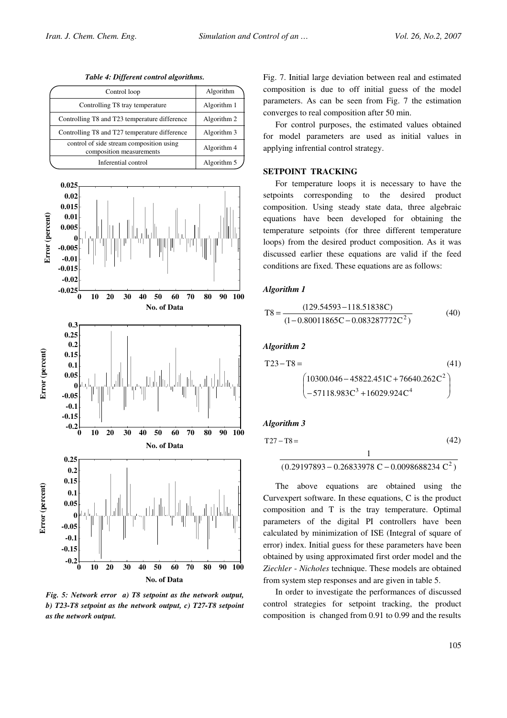Table 4: Different control algorithms.

| Control loop                                                         | Algorithm   |
|----------------------------------------------------------------------|-------------|
| Controlling T8 tray temperature                                      | Algorithm 1 |
| Controlling T8 and T23 temperature difference                        | Algorithm 2 |
| Controlling T8 and T27 temperature difference                        | Algorithm 3 |
| control of side stream composition using<br>composition measurements | Algorithm 4 |
| Inferential control                                                  | Algorithm 5 |



Fig. 5: Network error a) T8 setpoint as the network output, b) T23-T8 setpoint as the network output, c) T27-T8 setpoint as the network output.

Fig. 7. Initial large deviation between real and estimated composition is due to off initial guess of the model parameters. As can be seen from Fig. 7 the estimation converges to real composition after 50 min.

For control purposes, the estimated values obtained for model parameters are used as initial values in applying infrential control strategy.

## SETPOINT TRACKING

For temperature loops it is necessary to have the setpoints corresponding to the desired product composition. Using steady state data, three algebraic equations have been developed for obtaining the temperature setpoints (for three different temperature loops) from the desired product composition. As it was discussed earlier these equations are valid if the feed conditions are fixed. These equations are as follows:

#### Algorithm 1

$$
T8 = \frac{(129.54593 - 118.51838C)}{(1 - 0.80011865C - 0.083287772C^2)}
$$
(40)

#### Algorithm 2

$$
T23 - T8 = \t(41)
$$
\n
$$
\begin{pmatrix}\n10300.046 - 45822.451C + 76640.262C^2 \\
-57118.983C^3 + 16029.924C^4\n\end{pmatrix}
$$
\n(41)

#### Algorithm 3

$$
T27 - T8 = \t(42)
$$
\n
$$
\frac{1}{(0.29197893 - 0.26833978 \text{ C} - 0.0098688234 \text{ C}^2)}
$$

The above equations are obtained using the Curvexpert software. In these equations, C is the product composition and T is the tray temperature. Optimal parameters of the digital PI controllers have been calculated by minimization of ISE (Integral of square of error) index. Initial guess for these parameters have been obtained by using approximated first order model and the Ziechler - Nicholes technique. These models are obtained from system step responses and are given in table 5.

In order to investigate the performances of discussed control strategies for setpoint tracking, the product composition is changed from 0.91 to 0.99 and the results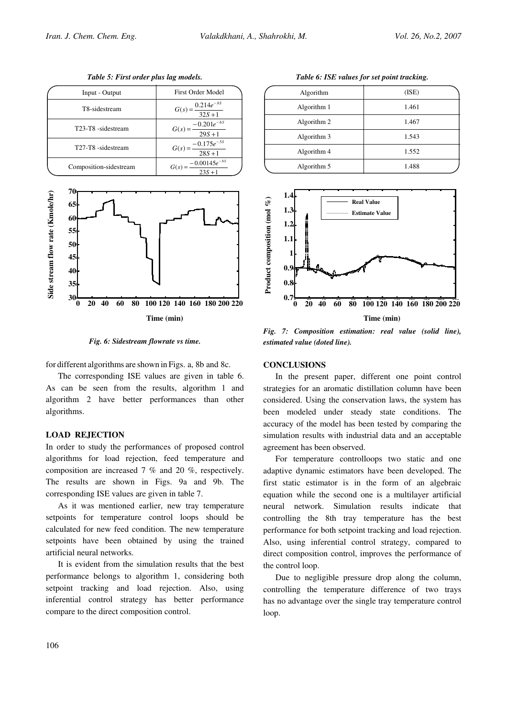| Input - Output         | <b>First Order Model</b>                   |
|------------------------|--------------------------------------------|
| T8-sidestream          | $=\frac{0.214e^{-.85}}{32S+1}$<br>$G(s) =$ |
| T23-T8 -sidestream     | $G(s) = \frac{-0.201e^{-6s}}{29S + 1}$     |
| T27-T8 -sidestream     | $G(s) = \frac{-0.175e^{-5s}}{28S + 1}$     |
| Composition-sidestream | $G(s) = \frac{-0.00145e^{-8s}}{23S + 1}$   |

Table 5: First order plus lag models.



Fig. 6: Sidestream flowrate vs time.

for different algorithms are shown in Figs. a, 8b and 8c.

The corresponding ISE values are given in table 6. As can be seen from the results, algorithm 1 and algorithm 2 have better performances than other algorithms.

## LOAD REJECTION

In order to study the performances of proposed control algorithms for load rejection, feed temperature and composition are increased 7 % and 20 %, respectively. The results are shown in Figs. 9a and 9b. The corresponding ISE values are given in table 7.

As it was mentioned earlier, new tray temperature setpoints for temperature control loops should be calculated for new feed condition. The new temperature setpoints have been obtained by using the trained artificial neural networks.

It is evident from the simulation results that the best performance belongs to algorithm 1, considering both setpoint tracking and load rejection. Also, using inferential control strategy has better performance compare to the direct composition control.

Table 6: ISE values for set point tracking.

| Algorithm   | (ISE) |
|-------------|-------|
| Algorithm 1 | 1.461 |
| Algorithm 2 | 1.467 |
| Algorithm 3 | 1.543 |
| Algorithm 4 | 1.552 |
| Algorithm 5 | 1.488 |
|             |       |



Fig. 7: Composition estimation: real value (solid line), estimated value (doted line).

#### **CONCLUSIONS**

In the present paper, different one point control strategies for an aromatic distillation column have been considered. Using the conservation laws, the system has been modeled under steady state conditions. The accuracy of the model has been tested by comparing the simulation results with industrial data and an acceptable agreement has been observed.

For temperature controlloops two static and one adaptive dynamic estimators have been developed. The first static estimator is in the form of an algebraic equation while the second one is a multilayer artificial neural network. Simulation results indicate that controlling the 8th tray temperature has the best performance for both setpoint tracking and load rejection. Also, using inferential control strategy, compared to direct composition control, improves the performance of the control loop.

Due to negligible pressure drop along the column, controlling the temperature difference of two trays has no advantage over the single tray temperature control loop.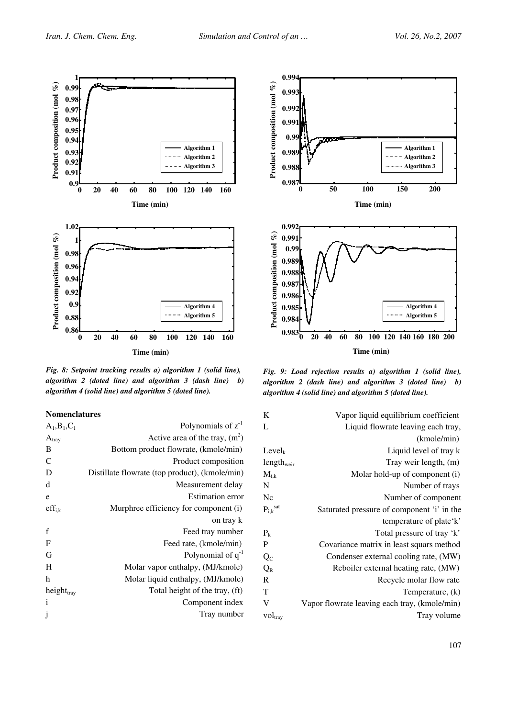

Fig. 8: Setpoint tracking results a) algorithm 1 (solid line), algorithm 2 (doted line) and algorithm  $3$  (dash line) b) algorithm 4 (solid line) and algorithm 5 (doted line).

### Nomenclatures

| $A_1, B_1, C_1$        | Polynomials of $z-1$                           |
|------------------------|------------------------------------------------|
| $A_{tray}$             | Active area of the tray, $(m^2)$               |
| B                      | Bottom product flowrate, (kmole/min)           |
| $\mathbf C$            | Product composition                            |
| D                      | Distillate flowrate (top product), (kmole/min) |
| d                      | Measurement delay                              |
| e                      | <b>Estimation error</b>                        |
| $\mathrm{eff}_{i,k}$   | Murphree efficiency for component (i)          |
|                        | on tray k                                      |
| $\mathbf f$            | Feed tray number                               |
| $\mathbf F$            | Feed rate, (kmole/min)                         |
| G                      | Polynomial of $q^{-1}$                         |
| Η                      | Molar vapor enthalpy, (MJ/kmole)               |
| h                      | Molar liquid enthalpy, (MJ/kmole)              |
| height <sub>tray</sub> | Total height of the tray, (ft)                 |
| $\mathbf{i}$           | Component index                                |
| j                      | Tray number                                    |



Fig. 9: Load rejection results a) algorithm 1 (solid line), algorithm 2 (dash line) and algorithm  $3$  (doted line) b) algorithm 4 (solid line) and algorithm 5 (doted line).

| K                                    | Vapor liquid equilibrium coefficient          |
|--------------------------------------|-----------------------------------------------|
| L                                    | Liquid flowrate leaving each tray,            |
|                                      | (kmole/min)                                   |
| $Level_k$                            | Liquid level of tray k                        |
| $length_{\text{weir}}$               | Tray weir length, (m)                         |
| $M_{i,k}$                            | Molar hold-up of component (i)                |
| N                                    | Number of trays                               |
| Nc                                   | Number of component                           |
| $P_{i,k}^{\quad \text{sat}}$         | Saturated pressure of component 'i' in the    |
|                                      | temperature of plate'k'                       |
| $\rm P_k$                            | Total pressure of tray 'k'                    |
| P                                    | Covariance matrix in least squars method      |
| $\overline{\mathrm{Q}}_{\mathrm{C}}$ | Condenser external cooling rate, (MW)         |
| $Q_{R}$                              | Reboiler external heating rate, (MW)          |
| R                                    | Recycle molar flow rate                       |
| T                                    | Temperature, (k)                              |
| V                                    | Vapor flowrate leaving each tray, (kmole/min) |
| vol <sub>tray</sub>                  | Tray volume                                   |